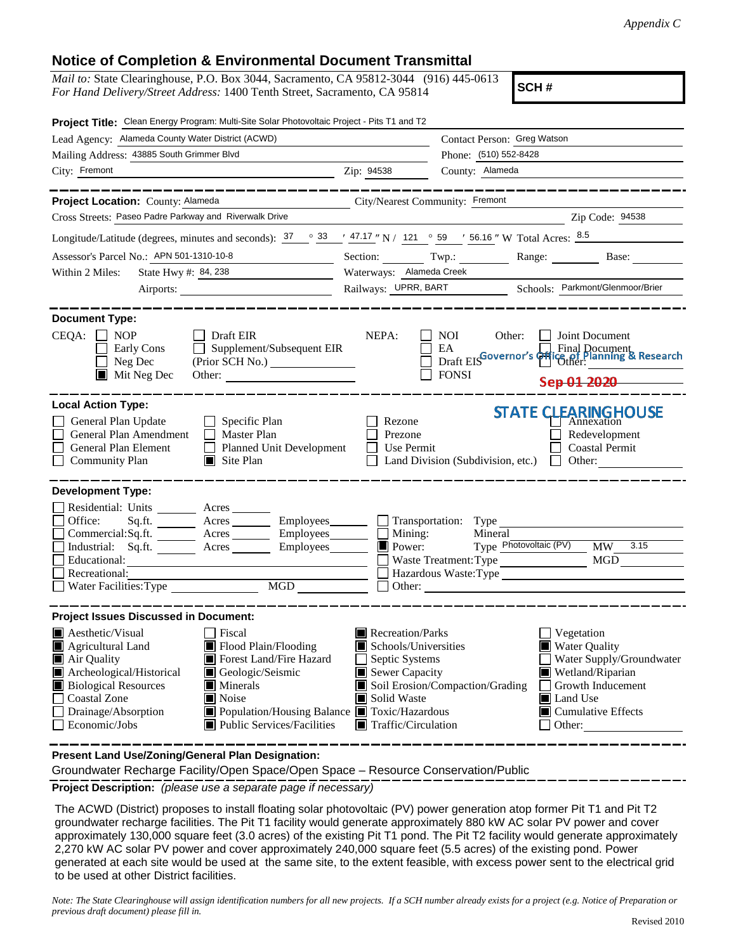## **Notice of Completion & Environmental Document Transmittal**

*Mail to:* State Clearinghouse, P.O. Box 3044, Sacramento, CA 95812-3044 (916) 445-0613 *For Hand Delivery/Street Address:* 1400 Tenth Street, Sacramento, CA 95814

**SCH #**

| Project Title: Clean Energy Program: Multi-Site Solar Photovoltaic Project - Pits T1 and T2                                                                                                                                 |                                                                                                                                                                                                                                                                                                                                                                                                                                                                                                                                                                                                                                                                                                                                                                                                                                                                                                                                                                                                                                                                                                                                                                                                                                                                                                                                                                                                                                                                                                                                                                                                                                                                                                                                     |  |  |  |
|-----------------------------------------------------------------------------------------------------------------------------------------------------------------------------------------------------------------------------|-------------------------------------------------------------------------------------------------------------------------------------------------------------------------------------------------------------------------------------------------------------------------------------------------------------------------------------------------------------------------------------------------------------------------------------------------------------------------------------------------------------------------------------------------------------------------------------------------------------------------------------------------------------------------------------------------------------------------------------------------------------------------------------------------------------------------------------------------------------------------------------------------------------------------------------------------------------------------------------------------------------------------------------------------------------------------------------------------------------------------------------------------------------------------------------------------------------------------------------------------------------------------------------------------------------------------------------------------------------------------------------------------------------------------------------------------------------------------------------------------------------------------------------------------------------------------------------------------------------------------------------------------------------------------------------------------------------------------------------|--|--|--|
| Lead Agency: Alameda County Water District (ACWD)                                                                                                                                                                           | Contact Person: Greg Watson                                                                                                                                                                                                                                                                                                                                                                                                                                                                                                                                                                                                                                                                                                                                                                                                                                                                                                                                                                                                                                                                                                                                                                                                                                                                                                                                                                                                                                                                                                                                                                                                                                                                                                         |  |  |  |
| Mailing Address: 43885 South Grimmer Blvd                                                                                                                                                                                   | Phone: (510) 552-8428                                                                                                                                                                                                                                                                                                                                                                                                                                                                                                                                                                                                                                                                                                                                                                                                                                                                                                                                                                                                                                                                                                                                                                                                                                                                                                                                                                                                                                                                                                                                                                                                                                                                                                               |  |  |  |
| City: Fremont                                                                                                                                                                                                               |                                                                                                                                                                                                                                                                                                                                                                                                                                                                                                                                                                                                                                                                                                                                                                                                                                                                                                                                                                                                                                                                                                                                                                                                                                                                                                                                                                                                                                                                                                                                                                                                                                                                                                                                     |  |  |  |
|                                                                                                                                                                                                                             |                                                                                                                                                                                                                                                                                                                                                                                                                                                                                                                                                                                                                                                                                                                                                                                                                                                                                                                                                                                                                                                                                                                                                                                                                                                                                                                                                                                                                                                                                                                                                                                                                                                                                                                                     |  |  |  |
| Project Location: County: Alameda                                                                                                                                                                                           |                                                                                                                                                                                                                                                                                                                                                                                                                                                                                                                                                                                                                                                                                                                                                                                                                                                                                                                                                                                                                                                                                                                                                                                                                                                                                                                                                                                                                                                                                                                                                                                                                                                                                                                                     |  |  |  |
| Cross Streets: Paseo Padre Parkway and Riverwalk Drive                                                                                                                                                                      | Zip Code: 94538                                                                                                                                                                                                                                                                                                                                                                                                                                                                                                                                                                                                                                                                                                                                                                                                                                                                                                                                                                                                                                                                                                                                                                                                                                                                                                                                                                                                                                                                                                                                                                                                                                                                                                                     |  |  |  |
|                                                                                                                                                                                                                             |                                                                                                                                                                                                                                                                                                                                                                                                                                                                                                                                                                                                                                                                                                                                                                                                                                                                                                                                                                                                                                                                                                                                                                                                                                                                                                                                                                                                                                                                                                                                                                                                                                                                                                                                     |  |  |  |
| Assessor's Parcel No.: APN 501-1310-10-8                                                                                                                                                                                    |                                                                                                                                                                                                                                                                                                                                                                                                                                                                                                                                                                                                                                                                                                                                                                                                                                                                                                                                                                                                                                                                                                                                                                                                                                                                                                                                                                                                                                                                                                                                                                                                                                                                                                                                     |  |  |  |
| State Hwy #: 84, 238<br>Within 2 Miles:                                                                                                                                                                                     | Waterways: Alameda Creek                                                                                                                                                                                                                                                                                                                                                                                                                                                                                                                                                                                                                                                                                                                                                                                                                                                                                                                                                                                                                                                                                                                                                                                                                                                                                                                                                                                                                                                                                                                                                                                                                                                                                                            |  |  |  |
|                                                                                                                                                                                                                             | Railways: UPRR, BART Schools: Parkmont/Glenmoor/Brier                                                                                                                                                                                                                                                                                                                                                                                                                                                                                                                                                                                                                                                                                                                                                                                                                                                                                                                                                                                                                                                                                                                                                                                                                                                                                                                                                                                                                                                                                                                                                                                                                                                                               |  |  |  |
|                                                                                                                                                                                                                             |                                                                                                                                                                                                                                                                                                                                                                                                                                                                                                                                                                                                                                                                                                                                                                                                                                                                                                                                                                                                                                                                                                                                                                                                                                                                                                                                                                                                                                                                                                                                                                                                                                                                                                                                     |  |  |  |
| <b>Document Type:</b><br>CEQA:<br><b>NOP</b><br>Draft EIR<br>Early Cons<br>$\Box$ Neg Dec<br>$\blacksquare$ Mit Neg Dec                                                                                                     | <u>2</u> Zip: 94538<br>County: Alameda<br>City/Nearest Community: Fremont<br>Longitude/Latitude (degrees, minutes and seconds): $\frac{37}{100}$ $\frac{33}{100}$ $\frac{47.17}{100}$ N / 121 $\degree$ 59 $\degree$ 56.16 $\degree$ W Total Acres: $\frac{8.5}{100}$<br>Section: Twp.: Range: Base:<br>NEPA:<br>NOI<br>Joint Document<br>Other:<br>Supplement/Subsequent EIR<br>EA<br>Draft EISGovernor's Grice of Planning & Research<br>Other:<br>(Prior SCH No.)<br><b>FONSI</b><br>Other:<br>Sep 01 2020<br><b>STATE CLEARINGHOUSE</b><br>Specific Plan<br>Rezone<br>Annexation<br>$\Box$ Master Plan<br>Prezone<br>Redevelopment<br>Planned Unit Development<br>Use Permit<br><b>Coastal Permit</b><br>$\Box$ Site Plan<br>Land Division (Subdivision, etc.) $\Box$ Other:<br>Sq.fit.<br>Acres Employees<br>Transportation: Type<br>Mining:<br>Mineral<br>$\blacksquare$<br>Type Photovoltaic (PV)<br>3.15<br>$\blacksquare$ Power:<br>MW<br>Waste Treatment: Type<br>MGD<br>Hazardous Waste:Type<br>$\overline{MGD}$<br>Other: The Company of the Company of the Company of the Company of the Company of the Company of the Company of the Company of the Company of the Company of the Company of the Company of the Company of the Company of the C<br>Recreation/Parks<br>Fiscal<br>Vegetation<br>Flood Plain/Flooding<br><b>Water Quality</b><br>Schools/Universities<br>Water Supply/Groundwater<br>Forest Land/Fire Hazard<br>Septic Systems<br>Sewer Capacity<br>Wetland/Riparian<br>Geologic/Seismic<br>Soil Erosion/Compaction/Grading<br>$\blacksquare$ Minerals<br>Growth Inducement<br>Noise<br>Solid Waste<br><b>I</b> Land Use<br>■ Population/Housing Balance ■ Toxic/Hazardous<br>$\Box$ Cumulative Effects |  |  |  |
| <b>Local Action Type:</b><br>General Plan Update<br>General Plan Amendment<br>General Plan Element<br><b>Community Plan</b>                                                                                                 |                                                                                                                                                                                                                                                                                                                                                                                                                                                                                                                                                                                                                                                                                                                                                                                                                                                                                                                                                                                                                                                                                                                                                                                                                                                                                                                                                                                                                                                                                                                                                                                                                                                                                                                                     |  |  |  |
| <b>Development Type:</b>                                                                                                                                                                                                    |                                                                                                                                                                                                                                                                                                                                                                                                                                                                                                                                                                                                                                                                                                                                                                                                                                                                                                                                                                                                                                                                                                                                                                                                                                                                                                                                                                                                                                                                                                                                                                                                                                                                                                                                     |  |  |  |
| Residential: Units ________ Acres _______<br>Office:<br>Commercial:Sq.ft. _________ Acres ________ Employees_______<br>Industrial: Sq.ft. ________ Acres _______<br>Educational:<br>Recreational:<br>Water Facilities: Type |                                                                                                                                                                                                                                                                                                                                                                                                                                                                                                                                                                                                                                                                                                                                                                                                                                                                                                                                                                                                                                                                                                                                                                                                                                                                                                                                                                                                                                                                                                                                                                                                                                                                                                                                     |  |  |  |
| <b>Project Issues Discussed in Document:</b>                                                                                                                                                                                |                                                                                                                                                                                                                                                                                                                                                                                                                                                                                                                                                                                                                                                                                                                                                                                                                                                                                                                                                                                                                                                                                                                                                                                                                                                                                                                                                                                                                                                                                                                                                                                                                                                                                                                                     |  |  |  |
| $\blacksquare$ Aesthetic/Visual<br>Agricultural Land<br>Air Quality<br>Archeological/Historical<br><b>Biological Resources</b><br>Coastal Zone<br>Drainage/Absorption<br>Economic/Jobs<br>Public Services/Facilities        | $\blacksquare$ Traffic/Circulation<br>Other:                                                                                                                                                                                                                                                                                                                                                                                                                                                                                                                                                                                                                                                                                                                                                                                                                                                                                                                                                                                                                                                                                                                                                                                                                                                                                                                                                                                                                                                                                                                                                                                                                                                                                        |  |  |  |
| Present Land Use/Zoning/General Plan Designation:                                                                                                                                                                           |                                                                                                                                                                                                                                                                                                                                                                                                                                                                                                                                                                                                                                                                                                                                                                                                                                                                                                                                                                                                                                                                                                                                                                                                                                                                                                                                                                                                                                                                                                                                                                                                                                                                                                                                     |  |  |  |

Groundwater Recharge Facility/Open Space/Open Space – Resource Conservation/Public

**Project Description:** *(please use a separate page if necessary)*

 The ACWD (District) proposes to install floating solar photovoltaic (PV) power generation atop former Pit T1 and Pit T2 groundwater recharge facilities. The Pit T1 facility would generate approximately 880 kW AC solar PV power and cover approximately 130,000 square feet (3.0 acres) of the existing Pit T1 pond. The Pit T2 facility would generate approximately 2,270 kW AC solar PV power and cover approximately 240,000 square feet (5.5 acres) of the existing pond. Power generated at each site would be used at the same site, to the extent feasible, with excess power sent to the electrical grid to be used at other District facilities.

*Note: The State Clearinghouse will assign identification numbers for all new projects. If a SCH number already exists for a project (e.g. Notice of Preparation or previous draft document) please fill in.*